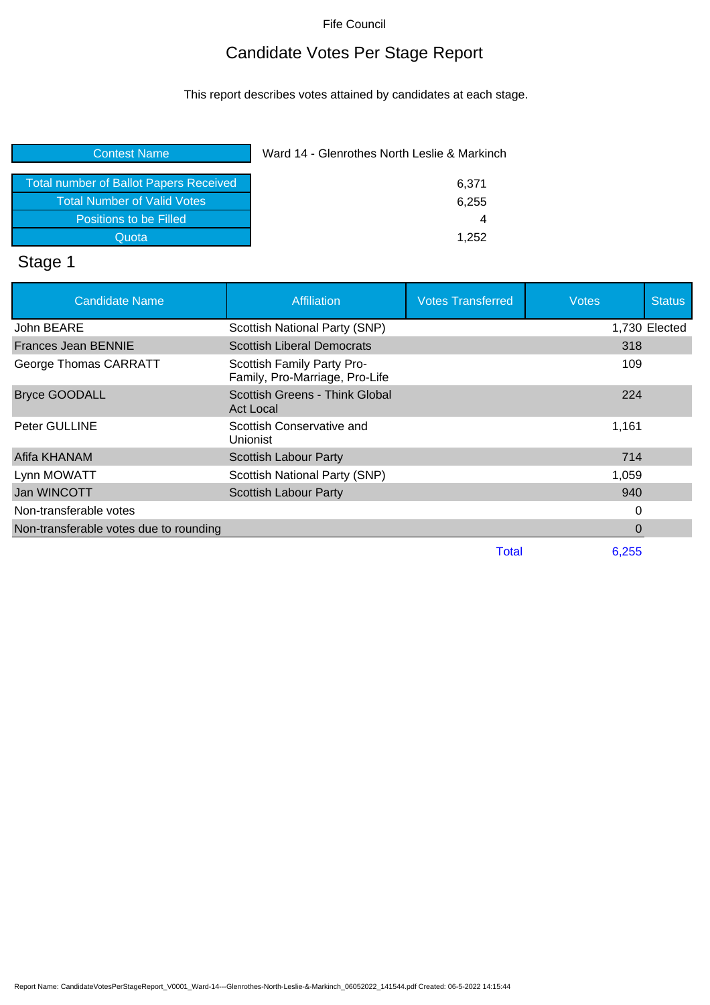# Candidate Votes Per Stage Report

This report describes votes attained by candidates at each stage.

| <b>Contest Name</b>                           | Ward 14 - Glenrothes North Leslie & Markinch |
|-----------------------------------------------|----------------------------------------------|
| <b>Total number of Ballot Papers Received</b> | 6,371                                        |
| <b>Total Number of Valid Votes</b>            | 6,255                                        |
| Positions to be Filled                        | 4                                            |
| Quota                                         | 1.252                                        |
|                                               |                                              |

#### Stage 1

| <b>Candidate Name</b>                  | <b>Affiliation</b>                                           | <b>Votes Transferred</b> | <b>Votes</b>   | <b>Status</b> |
|----------------------------------------|--------------------------------------------------------------|--------------------------|----------------|---------------|
| John BEARE                             | Scottish National Party (SNP)                                |                          |                | 1,730 Elected |
| <b>Frances Jean BENNIE</b>             | <b>Scottish Liberal Democrats</b>                            |                          | 318            |               |
| George Thomas CARRATT                  | Scottish Family Party Pro-<br>Family, Pro-Marriage, Pro-Life |                          | 109            |               |
| <b>Bryce GOODALL</b>                   | Scottish Greens - Think Global<br><b>Act Local</b>           |                          | 224            |               |
| <b>Peter GULLINE</b>                   | Scottish Conservative and<br>Unionist                        |                          | 1,161          |               |
| Afifa KHANAM                           | Scottish Labour Party                                        |                          | 714            |               |
| Lynn MOWATT                            | Scottish National Party (SNP)                                |                          | 1,059          |               |
| Jan WINCOTT                            | <b>Scottish Labour Party</b>                                 |                          | 940            |               |
| Non-transferable votes                 |                                                              |                          | 0              |               |
| Non-transferable votes due to rounding |                                                              |                          | $\overline{0}$ |               |
|                                        |                                                              | Total                    | 6.255          |               |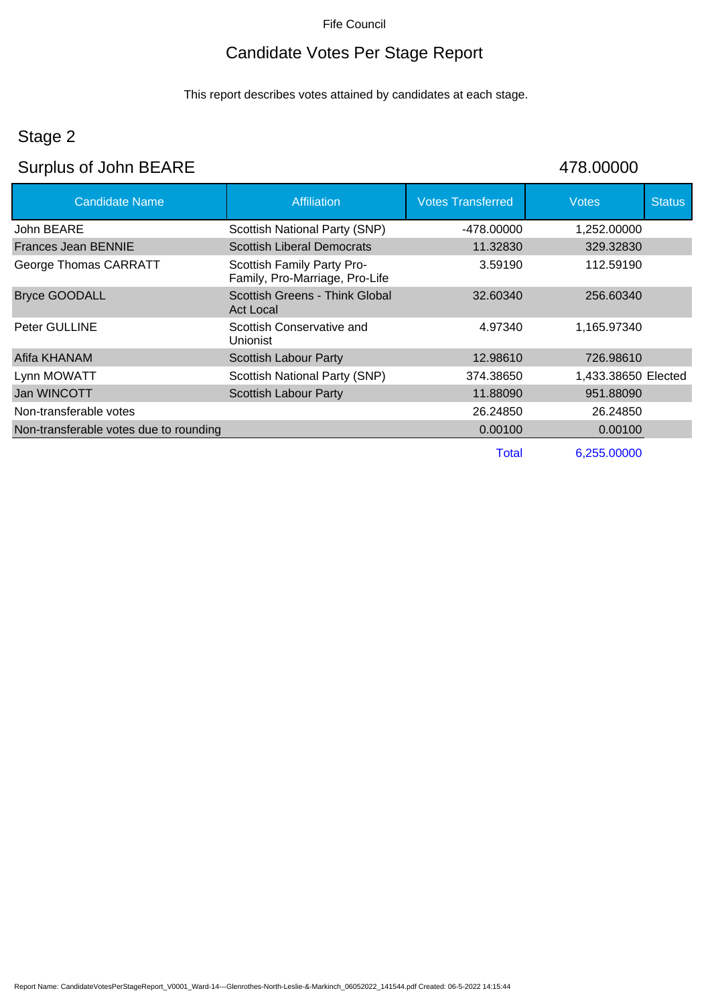# Candidate Votes Per Stage Report

This report describes votes attained by candidates at each stage.

# Stage 2

# Surplus of John BEARE 478.00000

| <b>Candidate Name</b>                  | <b>Affiliation</b>                                           | <b>Votes Transferred</b> | <b>Votes</b>        | <b>Status</b> |
|----------------------------------------|--------------------------------------------------------------|--------------------------|---------------------|---------------|
| John BEARE                             | Scottish National Party (SNP)                                | -478.00000               | 1.252.00000         |               |
| Frances Jean BENNIE                    | <b>Scottish Liberal Democrats</b>                            | 11.32830                 | 329.32830           |               |
| George Thomas CARRATT                  | Scottish Family Party Pro-<br>Family, Pro-Marriage, Pro-Life | 3.59190                  | 112.59190           |               |
| <b>Bryce GOODALL</b>                   | Scottish Greens - Think Global<br>Act Local                  | 32.60340                 | 256.60340           |               |
| <b>Peter GULLINE</b>                   | Scottish Conservative and<br>Unionist                        | 4.97340                  | 1,165.97340         |               |
| Afifa KHANAM                           | <b>Scottish Labour Party</b>                                 | 12.98610                 | 726.98610           |               |
| Lynn MOWATT                            | Scottish National Party (SNP)                                | 374.38650                | 1,433.38650 Elected |               |
| Jan WINCOTT                            | Scottish Labour Party                                        | 11.88090                 | 951.88090           |               |
| Non-transferable votes                 |                                                              | 26.24850                 | 26.24850            |               |
| Non-transferable votes due to rounding |                                                              | 0.00100                  | 0.00100             |               |
|                                        |                                                              | Total                    | 6,255.00000         |               |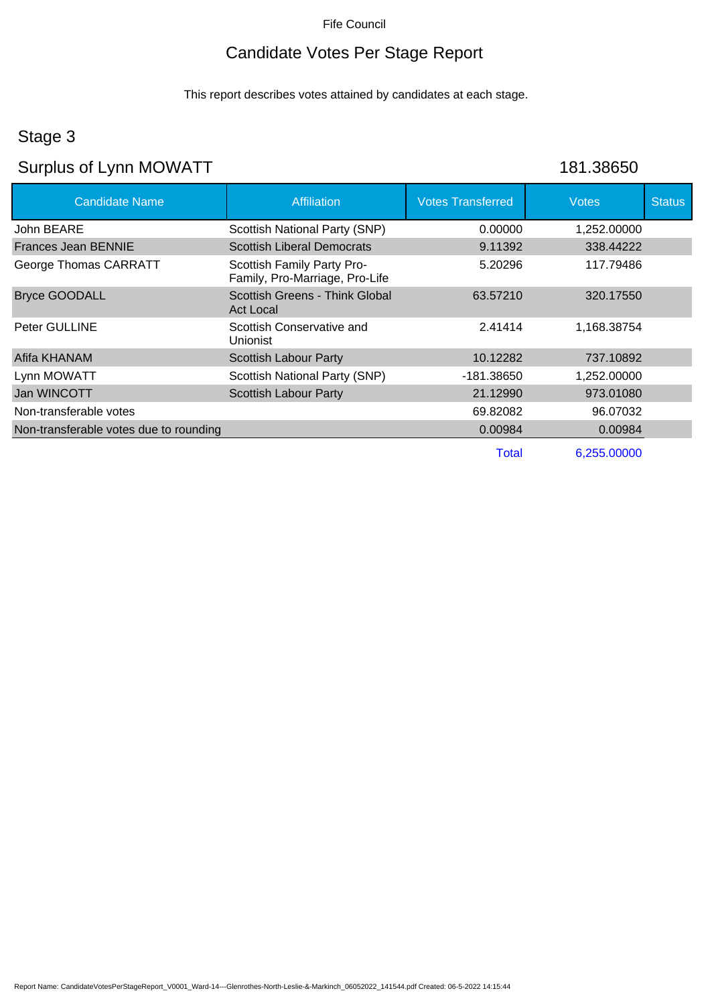# Candidate Votes Per Stage Report

This report describes votes attained by candidates at each stage.

#### Stage 3

# Surplus of Lynn MOWATT 181.38650

| <b>Candidate Name</b>                  | <b>Affiliation</b>                                           | <b>Votes Transferred</b> | <b>Votes</b> | <b>Status</b> |
|----------------------------------------|--------------------------------------------------------------|--------------------------|--------------|---------------|
| John BEARE                             | Scottish National Party (SNP)                                | 0.00000                  | 1,252.00000  |               |
| Frances Jean BENNIE                    | <b>Scottish Liberal Democrats</b>                            | 9.11392                  | 338.44222    |               |
| George Thomas CARRATT                  | Scottish Family Party Pro-<br>Family, Pro-Marriage, Pro-Life | 5.20296                  | 117.79486    |               |
| <b>Bryce GOODALL</b>                   | Scottish Greens - Think Global<br><b>Act Local</b>           | 63.57210                 | 320.17550    |               |
| <b>Peter GULLINE</b>                   | Scottish Conservative and<br><b>Unionist</b>                 | 2.41414                  | 1,168.38754  |               |
| Afifa KHANAM                           | Scottish Labour Party                                        | 10.12282                 | 737.10892    |               |
| Lynn MOWATT                            | Scottish National Party (SNP)                                | -181.38650               | 1,252.00000  |               |
| Jan WINCOTT                            | <b>Scottish Labour Party</b>                                 | 21.12990                 | 973.01080    |               |
| Non-transferable votes                 |                                                              | 69.82082                 | 96.07032     |               |
| Non-transferable votes due to rounding |                                                              | 0.00984                  | 0.00984      |               |
|                                        |                                                              | Total                    | 6,255.00000  |               |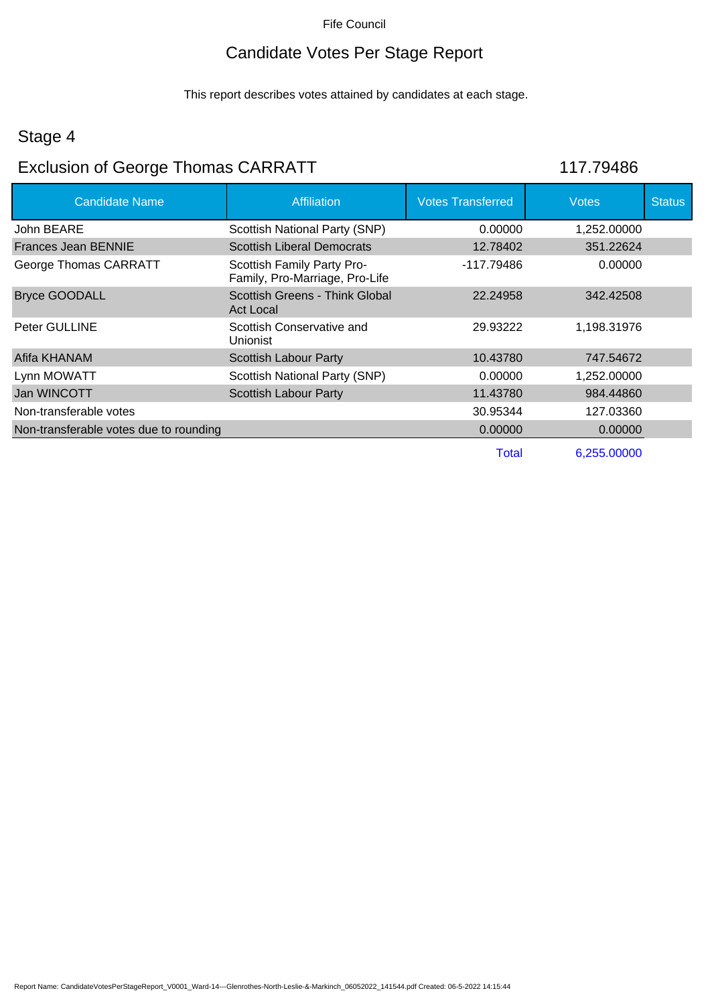# Candidate Votes Per Stage Report

This report describes votes attained by candidates at each stage.

#### Stage 4

# Exclusion of George Thomas CARRATT 117.79486

| <b>Candidate Name</b>                  | <b>Affiliation</b>                                           | <b>Votes Transferred</b> | Votes       | <b>Status</b> |
|----------------------------------------|--------------------------------------------------------------|--------------------------|-------------|---------------|
| John BEARE                             | Scottish National Party (SNP)                                | 0.00000                  | 1,252.00000 |               |
| Frances Jean BENNIE                    | <b>Scottish Liberal Democrats</b>                            | 12.78402                 | 351.22624   |               |
| George Thomas CARRATT                  | Scottish Family Party Pro-<br>Family, Pro-Marriage, Pro-Life | -117.79486               | 0.00000     |               |
| <b>Bryce GOODALL</b>                   | Scottish Greens - Think Global<br>Act Local                  | 22.24958                 | 342.42508   |               |
| <b>Peter GULLINE</b>                   | Scottish Conservative and<br>Unionist                        | 29.93222                 | 1,198.31976 |               |
| Afifa KHANAM                           | <b>Scottish Labour Party</b>                                 | 10.43780                 | 747.54672   |               |
| Lynn MOWATT                            | Scottish National Party (SNP)                                | 0.00000                  | 1,252.00000 |               |
| Jan WINCOTT                            | <b>Scottish Labour Party</b>                                 | 11.43780                 | 984.44860   |               |
| Non-transferable votes                 |                                                              | 30.95344                 | 127.03360   |               |
| Non-transferable votes due to rounding |                                                              | 0.00000                  | 0.00000     |               |
|                                        |                                                              | Total                    | 6,255.00000 |               |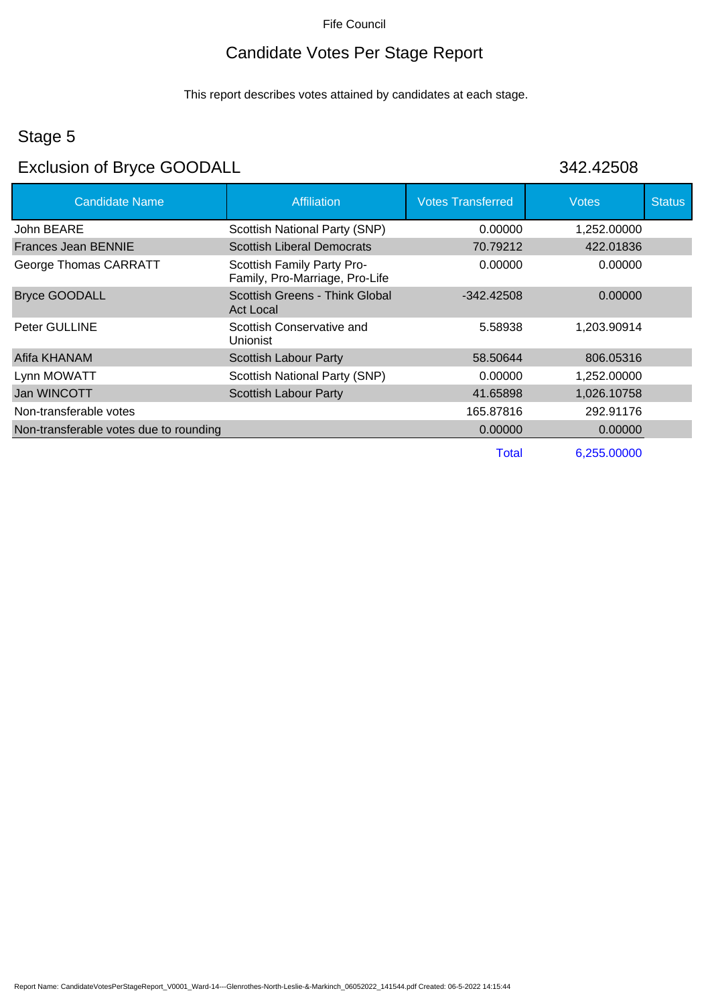# Candidate Votes Per Stage Report

This report describes votes attained by candidates at each stage.

#### Stage 5

# Exclusion of Bryce GOODALL 342.42508

| <b>Candidate Name</b>                  | <b>Affiliation</b>                                           | <b>Votes Transferred</b> | <b>Votes</b> | <b>Status</b> |
|----------------------------------------|--------------------------------------------------------------|--------------------------|--------------|---------------|
| John BEARE                             | Scottish National Party (SNP)                                | 0.00000                  | 1,252.00000  |               |
| Frances Jean BENNIE                    | <b>Scottish Liberal Democrats</b>                            | 70.79212                 | 422.01836    |               |
| George Thomas CARRATT                  | Scottish Family Party Pro-<br>Family, Pro-Marriage, Pro-Life | 0.00000                  | 0.00000      |               |
| <b>Bryce GOODALL</b>                   | Scottish Greens - Think Global<br>Act Local                  | $-342.42508$             | 0.00000      |               |
| <b>Peter GULLINE</b>                   | Scottish Conservative and<br><b>Unionist</b>                 | 5.58938                  | 1.203.90914  |               |
| Afifa KHANAM                           | Scottish Labour Party                                        | 58.50644                 | 806.05316    |               |
| Lynn MOWATT                            | Scottish National Party (SNP)                                | 0.00000                  | 1,252.00000  |               |
| Jan WINCOTT                            | <b>Scottish Labour Party</b>                                 | 41.65898                 | 1,026.10758  |               |
| Non-transferable votes                 |                                                              | 165.87816                | 292.91176    |               |
| Non-transferable votes due to rounding |                                                              | 0.00000                  | 0.00000      |               |
|                                        |                                                              | Total                    | 6,255.00000  |               |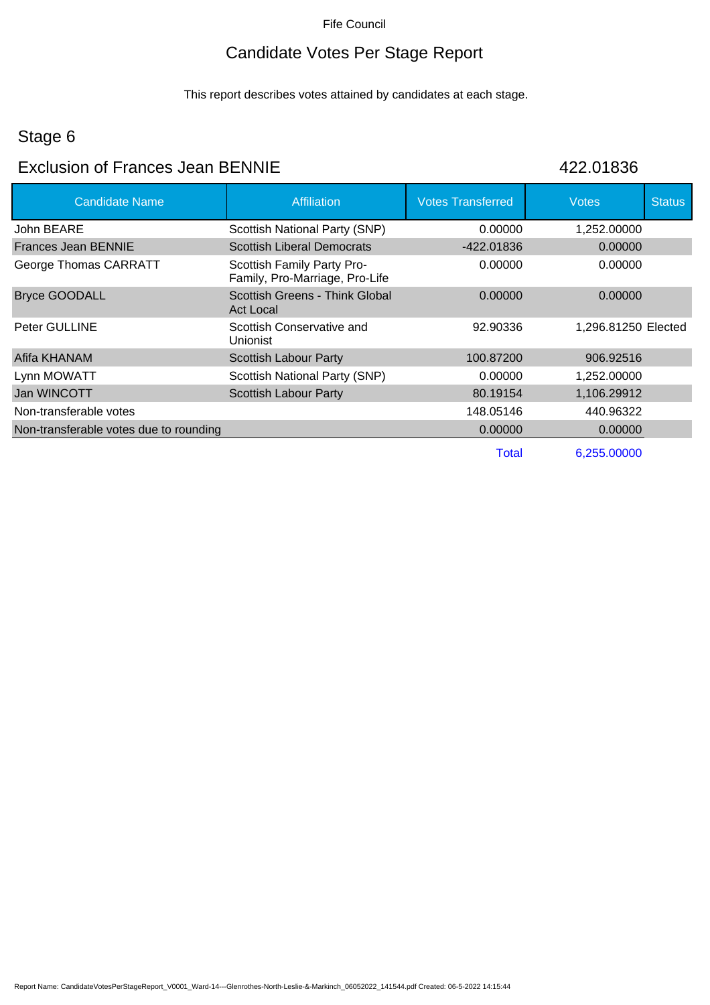# Candidate Votes Per Stage Report

This report describes votes attained by candidates at each stage.

# Stage 6

#### Exclusion of Frances Jean BENNIE 422.01836

| <b>Candidate Name</b>                  | <b>Affiliation</b>                                           | <b>Votes Transferred</b> | <b>Votes</b>        | <b>Status</b> |
|----------------------------------------|--------------------------------------------------------------|--------------------------|---------------------|---------------|
| John BEARE                             | Scottish National Party (SNP)                                | 0.00000                  | 1,252.00000         |               |
| Frances Jean BENNIE                    | <b>Scottish Liberal Democrats</b>                            | -422.01836               | 0.00000             |               |
| George Thomas CARRATT                  | Scottish Family Party Pro-<br>Family, Pro-Marriage, Pro-Life | 0.00000                  | 0.00000             |               |
| <b>Bryce GOODALL</b>                   | Scottish Greens - Think Global<br>Act Local                  | 0.00000                  | 0.00000             |               |
| <b>Peter GULLINE</b>                   | Scottish Conservative and<br>Unionist                        | 92.90336                 | 1,296.81250 Elected |               |
| Afifa KHANAM                           | Scottish Labour Party                                        | 100.87200                | 906.92516           |               |
| Lynn MOWATT                            | Scottish National Party (SNP)                                | 0.00000                  | 1,252.00000         |               |
| Jan WINCOTT                            | <b>Scottish Labour Party</b>                                 | 80.19154                 | 1,106.29912         |               |
| Non-transferable votes                 |                                                              | 148.05146                | 440.96322           |               |
| Non-transferable votes due to rounding |                                                              | 0.00000                  | 0.00000             |               |
|                                        |                                                              | Total                    | 6,255.00000         |               |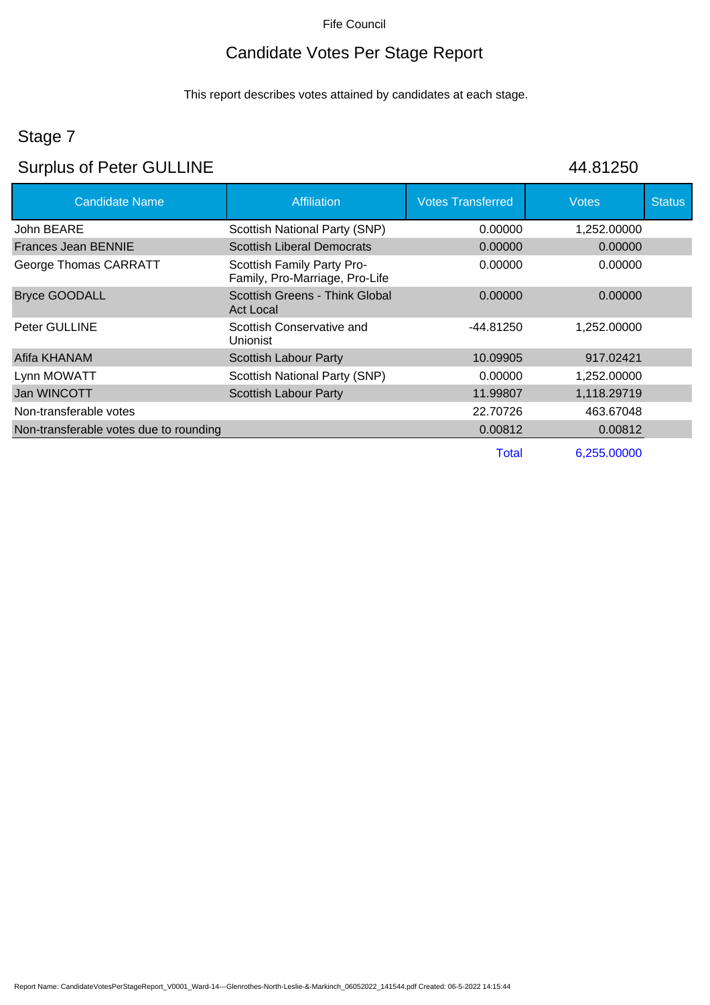# Candidate Votes Per Stage Report

This report describes votes attained by candidates at each stage.

# Stage 7

# Surplus of Peter GULLINE 44.81250

| <b>Candidate Name</b>                  | <b>Affiliation</b>                                           | <b>Votes Transferred</b> | Votes       | <b>Status</b> |
|----------------------------------------|--------------------------------------------------------------|--------------------------|-------------|---------------|
| John BEARE                             | Scottish National Party (SNP)                                | 0.00000                  | 1,252.00000 |               |
| Frances Jean BENNIE                    | <b>Scottish Liberal Democrats</b>                            | 0.00000                  | 0.00000     |               |
| George Thomas CARRATT                  | Scottish Family Party Pro-<br>Family, Pro-Marriage, Pro-Life | 0.00000                  | 0.00000     |               |
| <b>Bryce GOODALL</b>                   | Scottish Greens - Think Global<br>Act Local                  | 0.00000                  | 0.00000     |               |
| <b>Peter GULLINE</b>                   | Scottish Conservative and<br>Unionist                        | -44.81250                | 1.252.00000 |               |
| Afifa KHANAM                           | <b>Scottish Labour Party</b>                                 | 10.09905                 | 917.02421   |               |
| Lynn MOWATT                            | Scottish National Party (SNP)                                | 0.00000                  | 1,252.00000 |               |
| Jan WINCOTT                            | <b>Scottish Labour Party</b>                                 | 11.99807                 | 1,118.29719 |               |
| Non-transferable votes                 |                                                              | 22.70726                 | 463.67048   |               |
| Non-transferable votes due to rounding |                                                              | 0.00812                  | 0.00812     |               |
|                                        |                                                              | Total                    | 6,255.00000 |               |